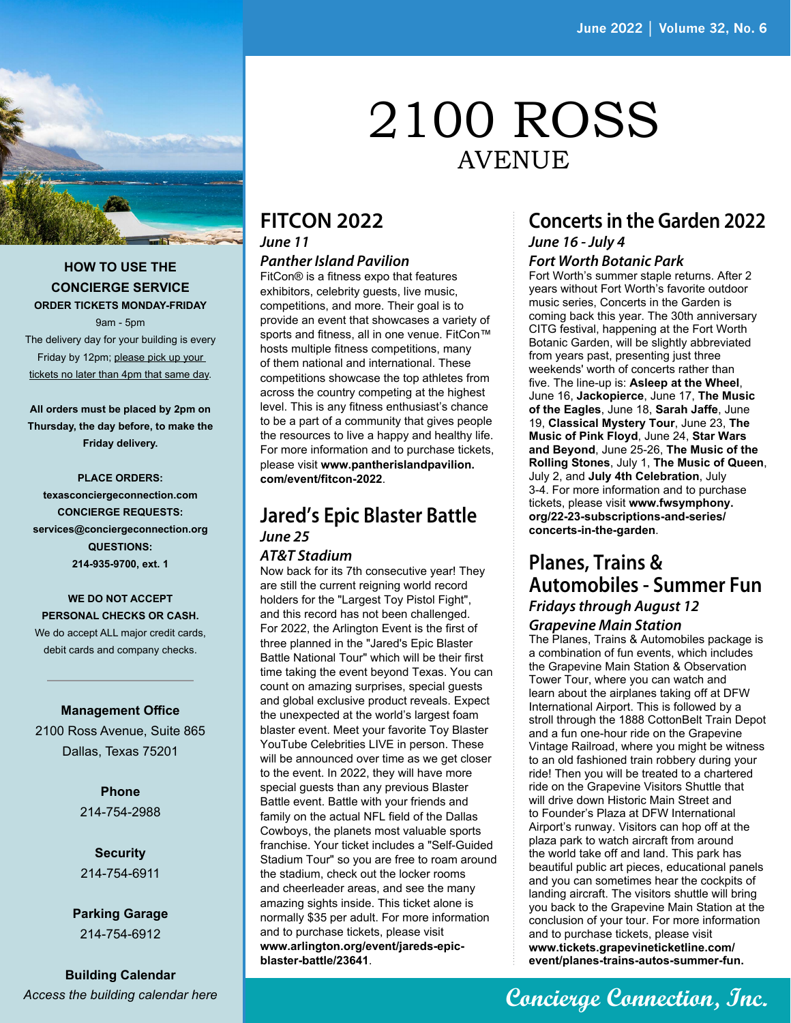

#### **HOW TO USE THE CONCIERGE SERVICE ORDER TICKETS MONDAY-FRIDAY**

9am - 5pm

The delivery day for your building is every Friday by 12pm; please pick up your tickets no later than 4pm that same day.

**All orders must be placed by 2pm on Thursday, the day before, to make the Friday delivery.**

**PLACE ORDERS: texasconciergeconnection.com CONCIERGE REQUESTS: services@conciergeconnection.org QUESTIONS: 214-935-9700, ext. 1**

#### **WE DO NOT ACCEPT PERSONAL CHECKS OR CASH.** We do accept ALL major credit cards, debit cards and company checks.

**Management Office**

2100 Ross Avenue, Suite 865 Dallas, Texas 75201

> **Phone** 214-754-2988

**Security** 214-754-6911

**Parking Garage** 214-754-6912

**Building Calendar** *[Access the building calendar here](https://www.tenanthandbooks.com/maintenance/comm.cfm?code=31102140&filter_TargetDate=44531)*

# 2100 ROSS AVENUE

#### **FITCON 2022** *June 11*

#### *Panther Island Pavilion*

FitCon® is a fitness expo that features exhibitors, celebrity guests, live music, competitions, and more. Their goal is to provide an event that showcases a variety of sports and fitness, all in one venue. FitCon™ hosts multiple fitness competitions, many of them national and international. These competitions showcase the top athletes from across the country competing at the highest level. This is any fitness enthusiast's chance to be a part of a community that gives people the resources to live a happy and healthy life. For more information and to purchase tickets, please visit **[www.pantherislandpavilion.](http://www.pantherislandpavilion.com/event/fitcon-2022) [com/event/fitcon-2022](http://www.pantherislandpavilion.com/event/fitcon-2022)**.

### **Jared's Epic Blaster Battle** *June 25*

#### *AT&T Stadium*

Now back for its 7th consecutive year! They are still the current reigning world record holders for the "Largest Toy Pistol Fight", and this record has not been challenged. For 2022, the Arlington Event is the first of three planned in the "Jared's Epic Blaster Battle National Tour" which will be their first time taking the event beyond Texas. You can count on amazing surprises, special guests and global exclusive product reveals. Expect the unexpected at the world's largest foam blaster event. Meet your favorite Toy Blaster YouTube Celebrities LIVE in person. These will be announced over time as we get closer to the event. In 2022, they will have more special guests than any previous Blaster Battle event. Battle with your friends and family on the actual NFL field of the Dallas Cowboys, the planets most valuable sports franchise. Your ticket includes a "Self-Guided Stadium Tour" so you are free to roam around the stadium, check out the locker rooms and cheerleader areas, and see the many amazing sights inside. This ticket alone is normally \$35 per adult. For more information and to purchase tickets, please visit **[www.arlington.org/event/jareds-epic](http://www.arlington.org/event/jareds-epic-blaster-battle/23641)[blaster-battle/23641](http://www.arlington.org/event/jareds-epic-blaster-battle/23641)**.

#### **Concerts in the Garden 2022** *June 16 - July 4*

#### *Fort Worth Botanic Park*

Fort Worth's summer staple returns. After 2 years without Fort Worth's favorite outdoor music series, Concerts in the Garden is coming back this year. The 30th anniversary CITG festival, happening at the Fort Worth Botanic Garden, will be slightly abbreviated from years past, presenting just three weekends' worth of concerts rather than five. The line-up is: **Asleep at the Wheel**, June 16, **Jackopierce**, June 17, **The Music of the Eagles**, June 18, **Sarah Jaffe**, June 19, **Classical Mystery Tour**, June 23, **The Music of Pink Floyd**, June 24, **Star Wars and Beyond**, June 25-26, **The Music of the Rolling Stones**, July 1, **The Music of Queen**, July 2, and **July 4th Celebration**, July 3-4. For more information and to purchase tickets, please visit **[www.fwsymphony.](http://www.fwsymphony.org/22-23-subscriptions-and-series/concerts-in-the-garden) [org/22-23-subscriptions-and-series/](http://www.fwsymphony.org/22-23-subscriptions-and-series/concerts-in-the-garden) [concerts-in-the-garden](http://www.fwsymphony.org/22-23-subscriptions-and-series/concerts-in-the-garden)**.

### **Planes, Trains & Automobiles - Summer Fun** *Fridays through August 12*

#### *Grapevine Main Station*

The Planes, Trains & Automobiles package is a combination of fun events, which includes the Grapevine Main Station & Observation Tower Tour, where you can watch and learn about the airplanes taking off at DFW International Airport. This is followed by a stroll through the 1888 CottonBelt Train Depot and a fun one-hour ride on the Grapevine Vintage Railroad, where you might be witness to an old fashioned train robbery during your ride! Then you will be treated to a chartered ride on the Grapevine Visitors Shuttle that will drive down Historic Main Street and to Founder's Plaza at DFW International Airport's runway. Visitors can hop off at the plaza park to watch aircraft from around the world take off and land. This park has beautiful public art pieces, educational panels and you can sometimes hear the cockpits of landing aircraft. The visitors shuttle will bring you back to the Grapevine Main Station at the conclusion of your tour. For more information and to purchase tickets, please visit **[www.tickets.grapevineticketline.com/](https://tickets.grapevineticketline.com/event/planes-trains-autos-summer-fun?_gl=1*10y50o8*_ga*MjE0ODQ5NzM2LjE2NTMwODU0NDI.*_ga_JDJ892GCPS*MTY1MzA4NTQzOS4xLjEuMTY1MzA4NTUwOC41OQ..) [event/planes-trains-autos-summer-fun.](https://tickets.grapevineticketline.com/event/planes-trains-autos-summer-fun?_gl=1*10y50o8*_ga*MjE0ODQ5NzM2LjE2NTMwODU0NDI.*_ga_JDJ892GCPS*MTY1MzA4NTQzOS4xLjEuMTY1MzA4NTUwOC41OQ..)**

## **Concierge Connection, Inc.**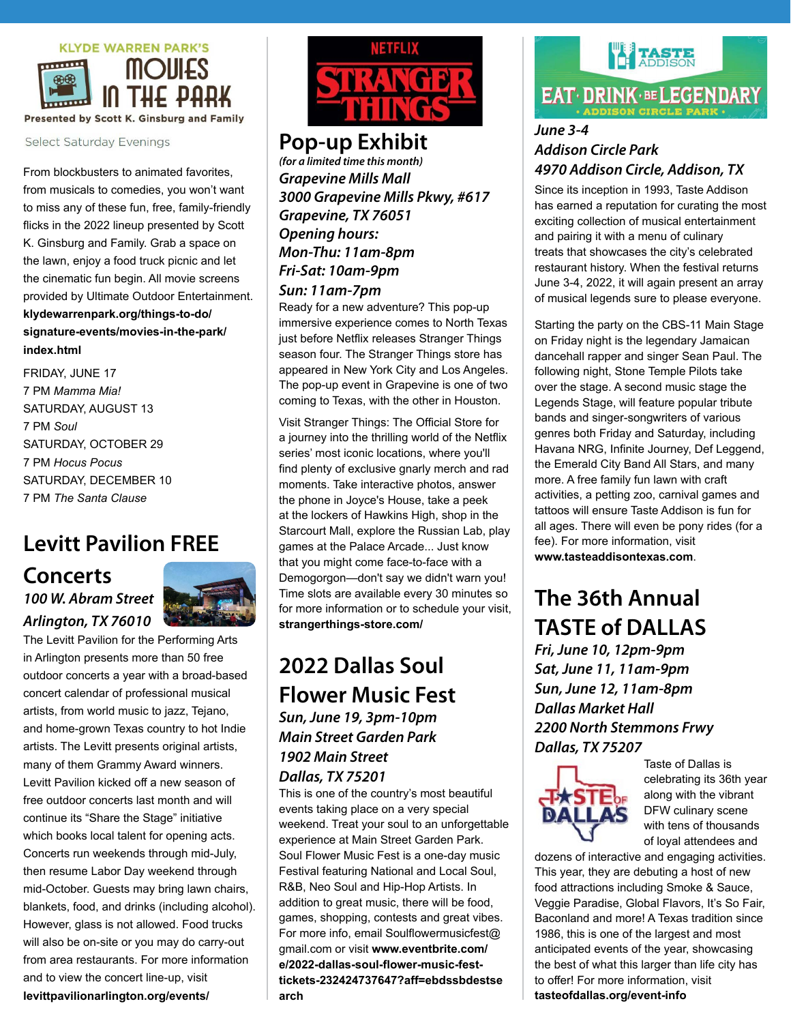

**Select Saturday Evenings** 

From blockbusters to animated favorites, from musicals to comedies, you won't want to miss any of these fun, free, family-friendly flicks in the 2022 lineup presented by Scott K. Ginsburg and Family. Grab a space on the lawn, enjoy a food truck picnic and let the cinematic fun begin. All movie screens provided by Ultimate Outdoor Entertainment. **[klydewarrenpark.org/things-to-do/](http://klydewarrenpark.org/things-to-do/signature-events/movies-in-the-park/index.html) [signature-events/movies-in-the-park/](http://klydewarrenpark.org/things-to-do/signature-events/movies-in-the-park/index.html) [index.html](http://klydewarrenpark.org/things-to-do/signature-events/movies-in-the-park/index.html)**

FRIDAY, JUNE 17 7 PM *Mamma Mia!* SATURDAY, AUGUST 13 7 PM *Soul* SATURDAY, OCTOBER 29 7 PM *Hocus Pocus* SATURDAY, DECEMBER 10 7 PM *The Santa Clause*

## **Levitt Pavilion FREE**

### **Concerts** *100 W. Abram Street Arlington, TX 76010*



The Levitt Pavilion for the Performing Arts in Arlington presents more than 50 free outdoor concerts a year with a broad-based concert calendar of professional musical artists, from world music to jazz, Tejano, and home-grown Texas country to hot Indie artists. The Levitt presents original artists, many of them Grammy Award winners. Levitt Pavilion kicked off a new season of free outdoor concerts last month and will continue its "Share the Stage" initiative which books local talent for opening acts. Concerts run weekends through mid-July, then resume Labor Day weekend through mid-October. Guests may bring lawn chairs, blankets, food, and drinks (including alcohol). However, glass is not allowed. Food trucks will also be on-site or you may do carry-out from area restaurants. For more information and to view the concert line-up, visit **[levittpavilionarlington.org/events/](http://levittpavilionarlington.org/events/ )** 



## **Pop-up Exhibit**

*(for a limited time this month) Grapevine Mills Mall 3000 Grapevine Mills Pkwy, #617 Grapevine, TX 76051 Opening hours: Mon-Thu: 11am-8pm Fri-Sat: 10am-9pm Sun: 11am-7pm*

Ready for a new adventure? This pop-up immersive experience comes to North Texas just before Netflix releases Stranger Things season four. The Stranger Things store has appeared in New York City and Los Angeles. The pop-up event in Grapevine is one of two coming to Texas, with the other in Houston.

Visit Stranger Things: The Official Store for a journey into the thrilling world of the Netflix series' most iconic locations, where you'll find plenty of exclusive gnarly merch and rad moments. Take interactive photos, answer the phone in Joyce's House, take a peek at the lockers of Hawkins High, shop in the Starcourt Mall, explore the Russian Lab, play games at the Palace Arcade... Just know that you might come face-to-face with a Demogorgon—don't say we didn't warn you! Time slots are available every 30 minutes so for more information or to schedule your visit, **[strangerthings-store.com/](http://strangerthings-store.com/)**

## **2022 Dallas Soul Flower Music Fest**

*Sun, June 19, 3pm-10pm Main Street Garden Park 1902 Main Street Dallas, TX 75201*

This is one of the country's most beautiful events taking place on a very special weekend. Treat your soul to an unforgettable experience at Main Street Garden Park. Soul Flower Music Fest is a one-day music Festival featuring National and Local Soul, R&B, Neo Soul and Hip-Hop Artists. In addition to great music, there will be food, games, shopping, contests and great vibes. For more info, email [Soulflowermusicfest@](mailto:Soulflowermusicfest%40gmail.com?subject=) [gmail.com](mailto:Soulflowermusicfest%40gmail.com?subject=) or visit **[www.eventbrite.com/](http://www.eventbrite.com/e/2022-dallas-soul-flower-music-fest-tickets-232424737647?aff=ebdssbdestsearch) [e/2022-dallas-soul-flower-music-fest](http://www.eventbrite.com/e/2022-dallas-soul-flower-music-fest-tickets-232424737647?aff=ebdssbdestsearch)[tickets-232424737647?aff=ebdssbdestse](http://www.eventbrite.com/e/2022-dallas-soul-flower-music-fest-tickets-232424737647?aff=ebdssbdestsearch) [arch](http://www.eventbrite.com/e/2022-dallas-soul-flower-music-fest-tickets-232424737647?aff=ebdssbdestsearch)**

# **TASTE EAT DRINK BELEGENDARY**

#### *June 3-4 Addison Circle Park 4970 Addison Circle, Addison, TX*

Since its inception in 1993, Taste Addison has earned a reputation for curating the most exciting collection of musical entertainment and pairing it with a menu of culinary treats that showcases the city's celebrated restaurant history. When the festival returns June 3-4, 2022, it will again present an array of musical legends sure to please everyone.

Starting the party on the CBS-11 Main Stage on Friday night is the legendary Jamaican dancehall rapper and singer Sean Paul. The following night, Stone Temple Pilots take over the stage. A second music stage the Legends Stage, will feature popular tribute bands and singer-songwriters of various genres both Friday and Saturday, including Havana NRG, Infinite Journey, Def Leggend, the Emerald City Band All Stars, and many more. A free family fun lawn with craft activities, a petting zoo, carnival games and tattoos will ensure Taste Addison is fun for all ages. There will even be pony rides (for a fee). For more information, visit **www.tasteaddisontexas.com**.

## **The 36th Annual TASTE of DALLAS**

*Fri, June 10, 12pm-9pm Sat, June 11, 11am-9pm Sun, June 12, 11am-8pm Dallas Market Hall 2200 North Stemmons Frwy Dallas, TX 75207*



Taste of Dallas is celebrating its 36th year along with the vibrant DFW culinary scene with tens of thousands of loyal attendees and

dozens of interactive and engaging activities. This year, they are debuting a host of new food attractions including Smoke & Sauce, Veggie Paradise, Global Flavors, It's So Fair, Baconland and more! A Texas tradition since 1986, this is one of the largest and most anticipated events of the year, showcasing the best of what this larger than life city has to offer! For more information, visit **[tasteofdallas.org/event-info](http://tasteofdallas.org/event-info/)**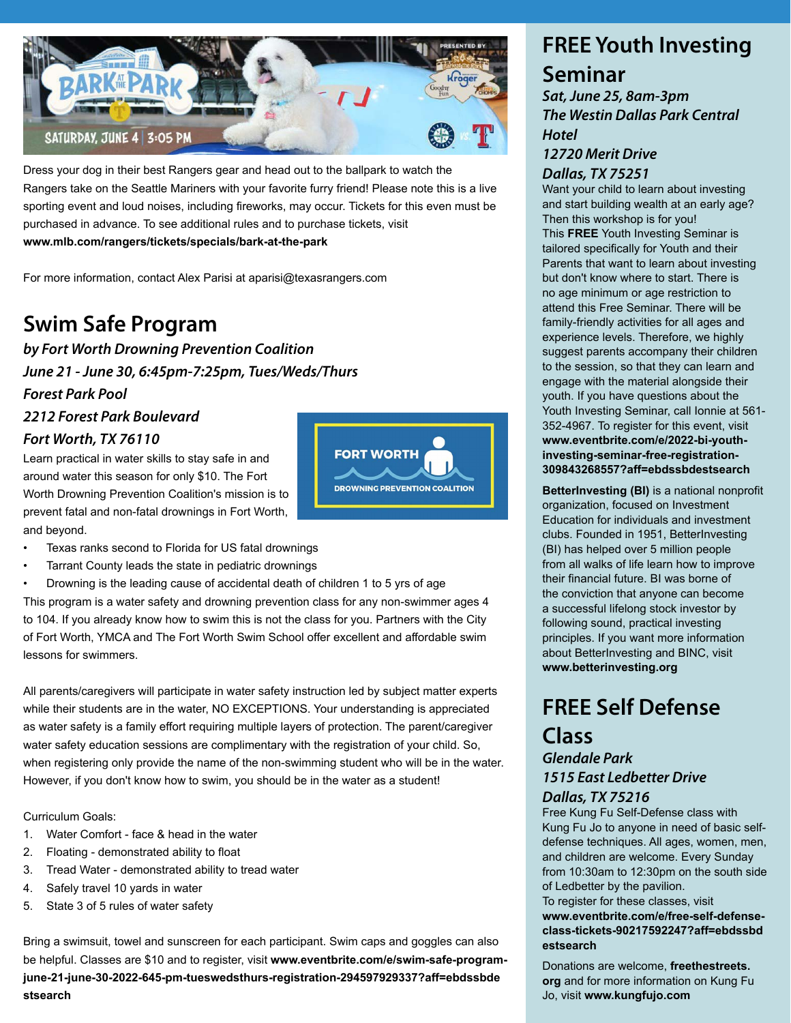

Dress your dog in their best Rangers gear and head out to the ballpark to watch the Rangers take on the Seattle Mariners with your favorite furry friend! Please note this is a live sporting event and loud noises, including fireworks, may occur. Tickets for this even must be purchased in advance. To see additional rules and to purchase tickets, visit **www.mlb.com/rangers/tickets/specials/bark-at-the-park**

For more information, contact Alex Parisi at aparisi@texasrangers.com

## **Swim Safe Program**

*by Fort Worth Drowning Prevention Coalition June 21 - June 30, 6:45pm-7:25pm, Tues/Weds/Thurs Forest Park Pool*

#### *2212 Forest Park Boulevard Fort Worth, TX 76110*

Learn practical in water skills to stay safe in and around water this season for only \$10. The Fort Worth Drowning Prevention Coalition's mission is to prevent fatal and non-fatal drownings in Fort Worth, and beyond.



- Texas ranks second to Florida for US fatal drownings
- Tarrant County leads the state in pediatric drownings

• Drowning is the leading cause of accidental death of children 1 to 5 yrs of age This program is a water safety and drowning prevention class for any non-swimmer ages 4 to 104. If you already know how to swim this is not the class for you. Partners with the City of Fort Worth, YMCA and The Fort Worth Swim School offer excellent and affordable swim lessons for swimmers.

All parents/caregivers will participate in water safety instruction led by subject matter experts while their students are in the water, NO EXCEPTIONS. Your understanding is appreciated as water safety is a family effort requiring multiple layers of protection. The parent/caregiver water safety education sessions are complimentary with the registration of your child. So, when registering only provide the name of the non-swimming student who will be in the water. However, if you don't know how to swim, you should be in the water as a student!

Curriculum Goals:

- 1. Water Comfort face & head in the water
- 2. Floating demonstrated ability to float
- 3. Tread Water demonstrated ability to tread water
- 4. Safely travel 10 yards in water
- 5. State 3 of 5 rules of water safety

Bring a swimsuit, towel and sunscreen for each participant. Swim caps and goggles can also be helpful. Classes are \$10 and to register, visit **[www.eventbrite.com/e/swim-safe-program](http://www.eventbrite.com/e/swim-safe-program-june-21-june-30-2022-645-pm-tueswedsthurs-registration-294597929337?aff=ebdssbdestsearch)[june-21-june-30-2022-645-pm-tueswedsthurs-registration-294597929337?aff=ebdssbde](http://www.eventbrite.com/e/swim-safe-program-june-21-june-30-2022-645-pm-tueswedsthurs-registration-294597929337?aff=ebdssbdestsearch) [stsearch](http://www.eventbrite.com/e/swim-safe-program-june-21-june-30-2022-645-pm-tueswedsthurs-registration-294597929337?aff=ebdssbdestsearch)**

### **FREE Youth Investing Seminar**

*Sat, June 25, 8am-3pm The Westin Dallas Park Central Hotel*

#### *12720 Merit Drive Dallas, TX 75251*

Want your child to learn about investing and start building wealth at an early age? Then this workshop is for you! This **FREE** Youth Investing Seminar is tailored specifically for Youth and their Parents that want to learn about investing but don't know where to start. There is no age minimum or age restriction to attend this Free Seminar. There will be family-friendly activities for all ages and experience levels. Therefore, we highly suggest parents accompany their children to the session, so that they can learn and engage with the material alongside their youth. If you have questions about the Youth Investing Seminar, call Ionnie at 561- 352-4967. To register for this event, visit **[www.eventbrite.com/e/2022-bi-youth](http://www.eventbrite.com/e/2022-bi-youth-investing-seminar-free-registration-309843268557?aff=ebdssbdestse)[investing-seminar-free-registration-](http://www.eventbrite.com/e/2022-bi-youth-investing-seminar-free-registration-309843268557?aff=ebdssbdestse)[309843268557?aff=ebdssbdestsearch](http://www.eventbrite.com/e/2022-bi-youth-investing-seminar-free-registration-309843268557?aff=ebdssbdestse)**

**BetterInvesting (BI)** is a national nonprofit organization, focused on Investment Education for individuals and investment clubs. Founded in 1951, BetterInvesting (BI) has helped over 5 million people from all walks of life learn how to improve their financial future. BI was borne of the conviction that anyone can become a successful lifelong stock investor by following sound, practical investing principles. If you want more information about BetterInvesting and BINC, visit **[www.betterinvesting.org](http://www.betterinvesting.org)**

## **FREE Self Defense**

### **Class** *Glendale Park 1515 East Ledbetter Drive*

#### *Dallas, TX 75216*

Free Kung Fu Self-Defense class with Kung Fu Jo to anyone in need of basic selfdefense techniques. All ages, women, men, and children are welcome. Every Sunday from 10:30am to 12:30pm on the south side of Ledbetter by the pavilion.

To register for these classes, visit **[www.eventbrite.com/e/free-self-defense](http://www.eventbrite.com/e/free-self-defense-class-tickets-90217592247?aff=ebdssbdestsearch)[class-tickets-90217592247?aff=ebdssbd](http://www.eventbrite.com/e/free-self-defense-class-tickets-90217592247?aff=ebdssbdestsearch) [estsearch](http://www.eventbrite.com/e/free-self-defense-class-tickets-90217592247?aff=ebdssbdestsearch)**

Donations are welcome, **[freethestreets.](http://freethestreets.org) [org](http://freethestreets.org)** and for more information on Kung Fu Jo, visit **www.kungfujo.com**